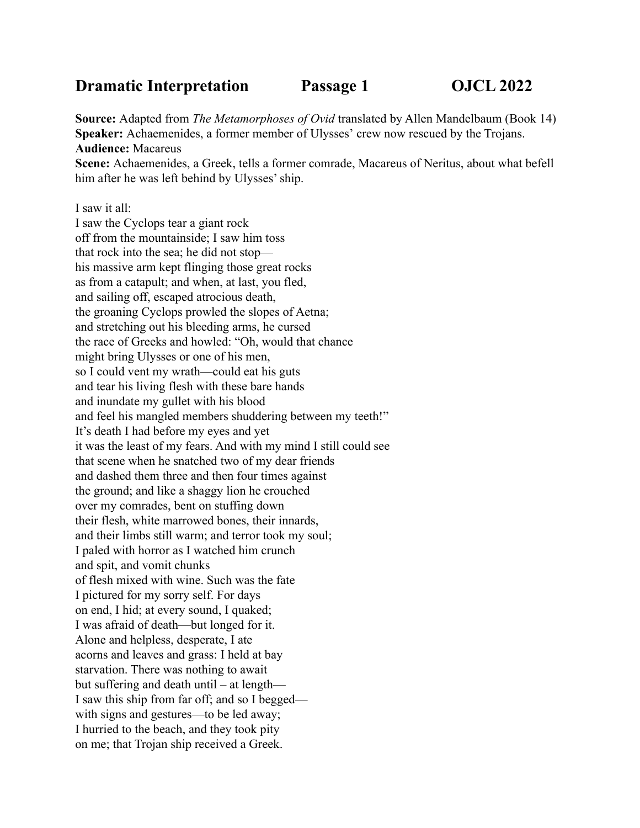## **Dramatic Interpretation Passage 1 OJCL 2022**

**Source:** Adapted from *The Metamorphoses of Ovid* translated by Allen Mandelbaum (Book 14) **Speaker:** Achaemenides, a former member of Ulysses' crew now rescued by the Trojans. **Audience:** Macareus

**Scene:** Achaemenides, a Greek, tells a former comrade, Macareus of Neritus, about what befell him after he was left behind by Ulysses' ship.

I saw it all: I saw the Cyclops tear a giant rock off from the mountainside; I saw him toss that rock into the sea; he did not stop his massive arm kept flinging those great rocks as from a catapult; and when, at last, you fled, and sailing off, escaped atrocious death, the groaning Cyclops prowled the slopes of Aetna; and stretching out his bleeding arms, he cursed the race of Greeks and howled: "Oh, would that chance might bring Ulysses or one of his men, so I could vent my wrath—could eat his guts and tear his living flesh with these bare hands and inundate my gullet with his blood and feel his mangled members shuddering between my teeth!" It's death I had before my eyes and yet it was the least of my fears. And with my mind I still could see that scene when he snatched two of my dear friends and dashed them three and then four times against the ground; and like a shaggy lion he crouched over my comrades, bent on stuffing down their flesh, white marrowed bones, their innards, and their limbs still warm; and terror took my soul; I paled with horror as I watched him crunch and spit, and vomit chunks of flesh mixed with wine. Such was the fate I pictured for my sorry self. For days on end, I hid; at every sound, I quaked; I was afraid of death—but longed for it. Alone and helpless, desperate, I ate acorns and leaves and grass: I held at bay starvation. There was nothing to await but suffering and death until – at length— I saw this ship from far off; and so I begged with signs and gestures—to be led away; I hurried to the beach, and they took pity on me; that Trojan ship received a Greek.